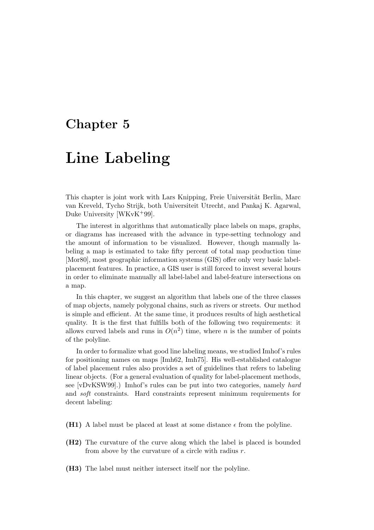## Chapter 5

# Line Labeling

This chapter is joint work with Lars Knipping, Freie Universität Berlin, Marc van Kreveld, Tycho Strijk, both Universiteit Utrecht, and Pankaj K. Agarwal, Duke University [WKvK<sup>+</sup>99].

The interest in algorithms that automatically place labels on maps, graphs, or diagrams has increased with the advance in type-setting technology and the amount of information to be visualized. However, though manually labeling a map is estimated to take fifty percent of total map production time [Mor80], most geographic information systems (GIS) offer only very basic labelplacement features. In practice, a GIS user is still forced to invest several hours in order to eliminate manually all label-label and label-feature intersections on a map.

In this chapter, we suggest an algorithm that labels one of the three classes of map objects, namely polygonal chains, such as rivers or streets. Our method is simple and efficient. At the same time, it produces results of high aesthetical quality. It is the first that fulfills both of the following two requirements: it allows curved labels and runs in  $O(n^2)$  time, where n is the number of points of the polyline.

In order to formalize what good line labeling means, we studied Imhof's rules for positioning names on maps [Imh62, Imh75]. His well-established catalogue of label placement rules also provides a set of guidelines that refers to labeling linear objects. (For a general evaluation of quality for label-placement methods, see [vDvKSW99].) Imhof's rules can be put into two categories, namely hard and soft constraints. Hard constraints represent minimum requirements for decent labeling:

- (H1) A label must be placed at least at some distance  $\epsilon$  from the polyline.
- (H2) The curvature of the curve along which the label is placed is bounded from above by the curvature of a circle with radius  $r$ .
- (H3) The label must neither intersect itself nor the polyline.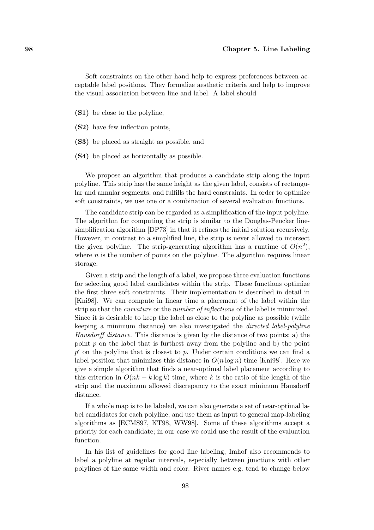Soft constraints on the other hand help to express preferences between acceptable label positions. They formalize aesthetic criteria and help to improve the visual association between line and label. A label should

- (S1) be close to the polyline,
- (S2) have few inflection points,
- (S3) be placed as straight as possible, and
- (S4) be placed as horizontally as possible.

We propose an algorithm that produces a candidate strip along the input polyline. This strip has the same height as the given label, consists of rectangular and annular segments, and fulfills the hard constraints. In order to optimize soft constraints, we use one or a combination of several evaluation functions.

The candidate strip can be regarded as a simplification of the input polyline. The algorithm for computing the strip is similar to the Douglas-Peucker linesimplification algorithm [DP73] in that it refines the initial solution recursively. However, in contrast to a simplified line, the strip is never allowed to intersect the given polyline. The strip-generating algorithm has a runtime of  $O(n^2)$ , where  $n$  is the number of points on the polyline. The algorithm requires linear storage.

Given a strip and the length of a label, we propose three evaluation functions for selecting good label candidates within the strip. These functions optimize the first three soft constraints. Their implementation is described in detail in [Kni98]. We can compute in linear time a placement of the label within the strip so that the curvature or the number of inflections of the label is minimized. Since it is desirable to keep the label as close to the polyline as possible (while keeping a minimum distance) we also investigated the directed label-polyline Hausdorff distance. This distance is given by the distance of two points; a) the point  $p$  on the label that is furthest away from the polyline and b) the point  $p'$  on the polyline that is closest to p. Under certain conditions we can find a label position that minimizes this distance in  $O(n \log n)$  time [Kni98]. Here we give a simple algorithm that finds a near-optimal label placement according to this criterion in  $O(nk + k \log k)$  time, where k is the ratio of the length of the strip and the maximum allowed discrepancy to the exact minimum Hausdorff distance.

If a whole map is to be labeled, we can also generate a set of near-optimal label candidates for each polyline, and use them as input to general map-labeling algorithms as [ECMS97, KT98, WW98]. Some of these algorithms accept a priority for each candidate; in our case we could use the result of the evaluation function.

In his list of guidelines for good line labeling, Imhof also recommends to label a polyline at regular intervals, especially between junctions with other polylines of the same width and color. River names e.g. tend to change below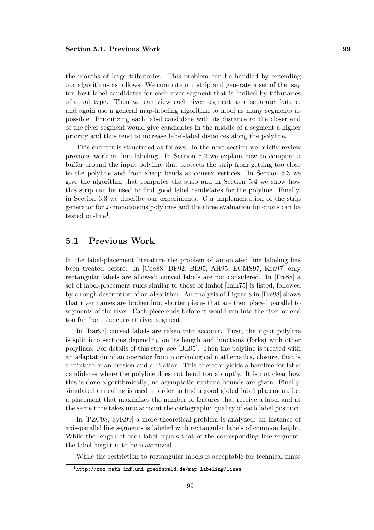the mouths of large tributaries. This problem can be handled by extending our algorithms as follows. We compute our strip and generate a set of the, say ten best label candidates for each river segment that is limited by tributaries of equal type. Then we can view each river segment as a separate feature, and again use a general map-labeling algorithm to label as many segments as possible. Prioritizing each label candidate with its distance to the closer end of the river segment would give candidates in the middle of a segment a higher priority and thus tend to increase label-label distances along the polyline.

This chapter is structured as follows. In the next section we briefly review previous work on line labeling. In Section 5.2 we explain how to compute a buffer around the input polyline that protects the strip from getting too close to the polyline and from sharp bends at convex vertices. In Section 5.3 we give the algorithm that computes the strip and in Section 5.4 we show how this strip can be used to find good label candidates for the polyline. Finally, in Section 6.3 we describe our experiments. Our implementation of the strip generator for x-monotonous polylines and the three evaluation functions can be  $t$ ested on-line<sup>1</sup>.

### 5.1 Previous Work

In the label-placement literature the problem of automated line labeling has been treated before. In [Coo88, DF92, BL95, AH95, ECMS97, Kra97] only rectangular labels are allowed; curved labels are not considered. In [Fre88] a set of label-placement rules similar to those of Imhof [Imh75] is listed, followed by a rough description of an algorithm. An analysis of Figure 8 in [Fre88] shows that river names are broken into shorter pieces that are then placed parallel to segments of the river. Each piece ends before it would run into the river or end too far from the current river segment.

In [Bar97] curved labels are taken into account. First, the input polyline is split into sections depending on its length and junctions (forks) with other polylines. For details of this step, see [BL95]. Then the polyline is treated with an adaptation of an operator from morphological mathematics, closure, that is a mixture of an erosion and a dilation. This operator yields a baseline for label candidates where the polyline does not bend too abruptly. It is not clear how this is done algorithmically; no asymptotic runtime bounds are given. Finally, simulated annealing is used in order to find a good global label placement, i.e. a placement that maximizes the number of features that receive a label and at the same time takes into account the cartographic quality of each label position.

In [PZC98, SvK99] a more theoretical problem is analyzed; an instance of axis-parallel line segments is labeled with rectangular labels of common height. While the length of each label equals that of the corresponding line segment, the label height is to be maximized.

While the restriction to rectangular labels is acceptable for technical maps

 $1$ http://www.math-inf.uni-greifswald.de/map-labeling/lines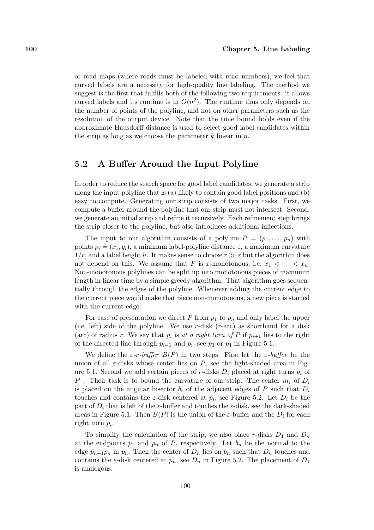or road maps (where roads must be labeled with road numbers), we feel that curved labels are a necessity for high-quality line labeling. The method we suggest is the first that fulfills both of the following two requirements: it allows curved labels and its runtime is in  $O(n^2)$ . The runtime thus only depends on the number of points of the polyline, and not on other parameters such as the resolution of the output device. Note that the time bound holds even if the approximate Hausdorff distance is used to select good label candidates within the strip as long as we choose the parameter  $k$  linear in n.

### 5.2 A Buffer Around the Input Polyline

In order to reduce the search space for good label candidates, we generate a strip along the input polyline that is (a) likely to contain good label positions and (b) easy to compute. Generating our strip consists of two major tasks. First, we compute a buffer around the polyline that our strip must not intersect. Second, we generate an initial strip and refine it recursively. Each refinement step brings the strip closer to the polyline, but also introduces additional inflections.

The input to our algorithm consists of a polyline  $P = (p_1, \ldots, p_n)$  with points  $p_i = (x_i, y_i)$ , a minimum label-polyline distance  $\varepsilon$ , a maximum curvature  $1/r$ , and a label height h. It makes sense to choose  $r \gg \varepsilon$  but the algorithm does not depend on this. We assume that P is x-monotonous, i.e.  $x_1 < \ldots < x_n$ . Non-monotonous polylines can be split up into monotonous pieces of maximum length in linear time by a simple greedy algorithm. That algorithm goes sequentially through the edges of the polyline. Whenever adding the current edge to the current piece would make that piece non-monotonous, a new piece is started with the current edge.

For ease of presentation we direct P from  $p_1$  to  $p_n$  and only label the upper (i.e. left) side of the polyline. We use r-disk  $(r-\text{arc})$  as shorthand for a disk (arc) of radius r. We say that  $p_i$  is at a right turn of P if  $p_{i+1}$  lies to the right of the directed line through  $p_{i-1}$  and  $p_i$ , see  $p_3$  or  $p_4$  in Figure 5.1.

We define the  $\varepsilon$ -r-buffer  $B(P)$  in two steps. First let the  $\varepsilon$ -buffer be the union of all  $\varepsilon$ -disks whose center lies on P, see the light-shaded area in Figure 5.1. Second we add certain pieces of r-disks  $D_i$  placed at right turns  $p_i$  of P. Their task is to bound the curvature of our strip. The center  $m_i$  of  $D_i$ is placed on the angular bisector  $b_i$  of the adjacent edges of P such that  $D_i$ touches and contains the  $\varepsilon$ -disk centered at  $p_i$ , see Figure 5.2. Let  $D_i$  be the part of  $D_i$  that is left of the  $\varepsilon$ -buffer and touches the  $\varepsilon$ -disk, see the dark-shaded areas in Figure 5.1. Then  $B(P)$  is the union of the  $\varepsilon$ -buffer and the  $D_i$  for each right turn  $p_i$ .

To simplify the calculation of the strip, we also place r-disks  $D_1$  and  $D_n$ at the endpoints  $p_1$  and  $p_n$  of P, respectively. Let  $b_n$  be the normal to the edge  $p_{n-1}p_n$  in  $p_n$ . Then the center of  $D_n$  lies on  $b_n$  such that  $D_n$  touches and contains the  $\varepsilon$ -disk centered at  $p_n$ , see  $D_n$  in Figure 5.2. The placement of  $D_1$ is analogous.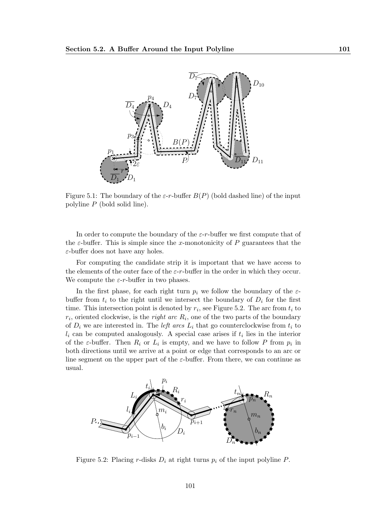

Figure 5.1: The boundary of the  $\varepsilon$ -r-buffer  $B(P)$  (bold dashed line) of the input polyline P (bold solid line).

In order to compute the boundary of the  $\varepsilon$ -r-buffer we first compute that of the  $\varepsilon$ -buffer. This is simple since the x-monotonicity of P guarantees that the  $\varepsilon$ -buffer does not have any holes.

For computing the candidate strip it is important that we have access to the elements of the outer face of the  $\varepsilon$ -r-buffer in the order in which they occur. We compute the  $\varepsilon$ -r-buffer in two phases.

In the first phase, for each right turn  $p_i$  we follow the boundary of the  $\varepsilon$ buffer from  $t_i$  to the right until we intersect the boundary of  $D_i$  for the first time. This intersection point is denoted by  $r_i$ , see Figure 5.2. The arc from  $t_i$  to  $r_i$ , oriented clockwise, is the *right arc*  $R_i$ , one of the two parts of the boundary of  $D_i$  we are interested in. The *left arcs*  $L_i$  that go counterclockwise from  $t_i$  to  $l_i$  can be computed analogously. A special case arises if  $t_i$  lies in the interior of the  $\varepsilon$ -buffer. Then  $R_i$  or  $L_i$  is empty, and we have to follow P from  $p_i$  in both directions until we arrive at a point or edge that corresponds to an arc or line segment on the upper part of the  $\varepsilon$ -buffer. From there, we can continue as usual.



Figure 5.2: Placing r-disks  $D_i$  at right turns  $p_i$  of the input polyline P.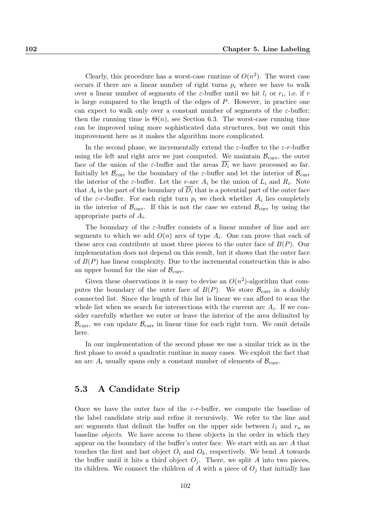Clearly, this procedure has a worst-case runtime of  $O(n^2)$ . The worst case occurs if there are a linear number of right turns  $p_i$  where we have to walk over a linear number of segments of the  $\varepsilon$ -buffer until we hit  $l_i$  or  $r_i$ , i.e. if  $r$ is large compared to the length of the edges of P. However, in practice one can expect to walk only over a constant number of segments of the  $\varepsilon$ -buffer; then the running time is  $\Theta(n)$ , see Section 6.3. The worst-case running time can be improved using more sophisticated data structures, but we omit this improvement here as it makes the algorithm more complicated.

In the second phase, we incrementally extend the  $\varepsilon$ -buffer to the  $\varepsilon$ -r-buffer using the left and right arcs we just computed. We maintain  $\mathcal{B}_{\text{curr}}$ , the outer face of the union of the  $\varepsilon$ -buffer and the areas  $\overline{D_i}$  we have processed so far. Initially let  $\mathcal{B}_{\text{curr}}$  be the boundary of the  $\varepsilon$ -buffer and let the interior of  $\mathcal{B}_{\text{curr}}$ the interior of the  $\varepsilon$ -buffer. Let the r-arc  $A_i$  be the union of  $L_i$  and  $R_i$ . Note that  $A_i$  is the part of the boundary of  $D_i$  that is a potential part of the outer face of the  $\varepsilon$ -r-buffer. For each right turn  $p_i$  we check whether  $A_i$  lies completely in the interior of  $\mathcal{B}_{\text{curr}}$ . If this is not the case we extend  $\mathcal{B}_{\text{curr}}$  by using the appropriate parts of  $A_i$ .

The boundary of the  $\varepsilon$ -buffer consists of a linear number of line and arc segments to which we add  $O(n)$  arcs of type  $A_i$ . One can prove that each of these arcs can contribute at most three pieces to the outer face of  $B(P)$ . Our implementation does not depend on this result, but it shows that the outer face of  $B(P)$  has linear complexity. Due to the incremental construction this is also an upper bound for the size of  $\mathcal{B}_{\text{curr}}$ .

Given these observations it is easy to devise an  $O(n^2)$ -algorithm that computes the boundary of the outer face of  $B(P)$ . We store  $\mathcal{B}_{\text{curr}}$  in a doubly connected list. Since the length of this list is linear we can afford to scan the whole list when we search for intersections with the current arc  $A_i$ . If we consider carefully whether we enter or leave the interior of the area delimited by  $\mathcal{B}_{\text{curr}}$ , we can update  $\mathcal{B}_{\text{curr}}$  in linear time for each right turn. We omit details here.

In our implementation of the second phase we use a similar trick as in the first phase to avoid a quadratic runtime in many cases. We exploit the fact that an arc  $A_i$  usually spans only a constant number of elements of  $B_{\text{curr}}$ .

### 5.3 A Candidate Strip

Once we have the outer face of the  $\varepsilon$ -r-buffer, we compute the baseline of the label candidate strip and refine it recursively. We refer to the line and arc segments that delimit the buffer on the upper side between  $l_1$  and  $r_n$  as baseline objects. We have access to these objects in the order in which they appear on the boundary of the buffer's outer face. We start with an arc A that touches the first and last object  $O_i$  and  $O_k$ , respectively. We bend A towards the buffer until it hits a third object  $O_i$ . There, we split A into two pieces, its children. We connect the children of A with a piece of  $O_i$  that initially has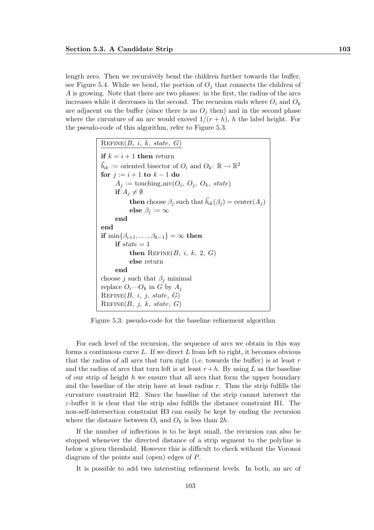length zero. Then we recursively bend the children further towards the buffer, see Figure 5.4. While we bend, the portion of  $O_i$  that connects the children of A is growing. Note that there are two phases: in the first, the radius of the arcs increases while it decreases in the second. The recursion ends where  $O_i$  and  $O_k$ are adjacent on the buffer (since there is no  $O_i$  then) and in the second phase where the curvature of an arc would exceed  $1/(r+h)$ , h the label height. For the pseudo-code of this algorithm, refer to Figure 5.3.

```
REFinE(B, i, k, state, G)if k = i + 1 then return
\vec{b}_{ik} := \text{oriented bisector of } O_i \text{ and } O_k: \mathbb{R} \to \mathbb{R}^2for j := i + 1 to k - 1 do
      A_j := \text{touching\_arc}(O_i, O_j, O_k, state)if A_i \neq \emptysetthen choose \beta_j such that \vec{b}_{ik}(\beta_j) = \text{center}(A_j)else \beta_i := \inftyend
end
if \min\{\beta_{i+1},\ldots,\beta_{k-1}\} = \infty then
      if state = 1then REFinE(B, i, k, 2, G)else return
      end
choose j such that \beta_i minimal
replace O_i—O_k in G by A_iREFinE(B, i, j, state, G)REFinE(B, j, k, state, G)
```
Figure 5.3: pseudo-code for the baseline refinement algorithm

For each level of the recursion, the sequence of arcs we obtain in this way forms a continuous curve  $L$ . If we direct  $L$  from left to right, it becomes obvious that the radius of all arcs that turn right (i.e. towards the buffer) is at least  $r$ and the radius of arcs that turn left is at least  $r + h$ . By using L as the baseline of our strip of height h we ensure that all arcs that form the upper boundary and the baseline of the strip have at least radius r. Thus the strip fulfills the curvature constraint H2. Since the baseline of the strip cannot intersect the  $\varepsilon$ -buffer it is clear that the strip also fulfills the distance constraint H1. The non-self-intersection constraint H3 can easily be kept by ending the recursion where the distance between  $O_i$  and  $O_k$  is less than  $2h$ .

If the number of inflections is to be kept small, the recursion can also be stopped whenever the directed distance of a strip segment to the polyline is below a given threshold. However this is difficult to check without the Voronoi diagram of the points and (open) edges of P.

It is possible to add two interesting refinement levels. In both, an arc of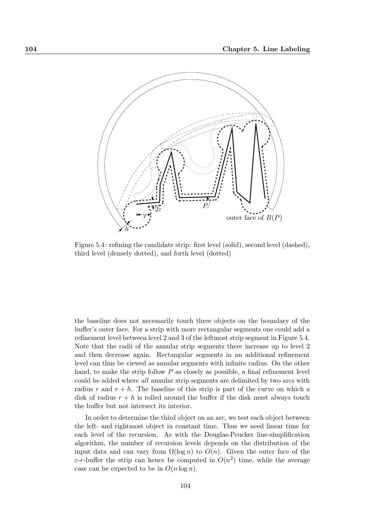

Figure 5.4: refining the candidate strip: first level (solid), second level (dashed), third level (densely dotted), and forth level (dotted)

the baseline does not necessarily touch three objects on the boundary of the buffer's outer face. For a strip with more rectangular segments one could add a refinement level between level 2 and 3 of the leftmost strip segment in Figure 5.4. Note that the radii of the annular strip segments there increase up to level 2 and then decrease again. Rectangular segments in an additional refinement level can thus be viewed as annular segments with infinite radius. On the other hand, to make the strip follow  $P$  as closely as possible, a final refinement level could be added where all annular strip segments are delimited by two arcs with radius r and  $r + h$ . The baseline of this strip is part of the curve on which a disk of radius  $r + h$  is rolled around the buffer if the disk must always touch the buffer but not intersect its interior.

In order to determine the third object on an arc, we test each object between the left- and rightmost object in constant time. Thus we need linear time for each level of the recursion. As with the Douglas-Peucker line-simplification algorithm, the number of recursion levels depends on the distribution of the input data and can vary from  $\Omega(\log n)$  to  $O(n)$ . Given the outer face of the  $\varepsilon$ -r-buffer the strip can hence be computed in  $O(n^2)$  time, while the average case can be expected to be in  $O(n \log n)$ .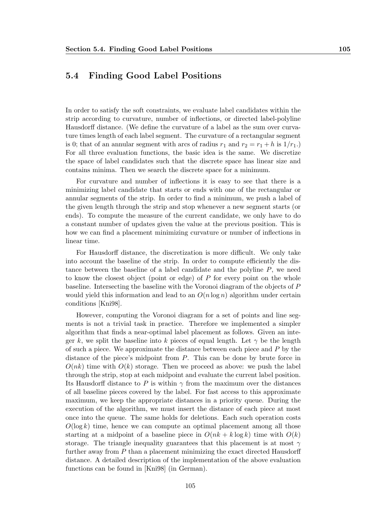### 5.4 Finding Good Label Positions

In order to satisfy the soft constraints, we evaluate label candidates within the strip according to curvature, number of inflections, or directed label-polyline Hausdorff distance. (We define the curvature of a label as the sum over curvature times length of each label segment. The curvature of a rectangular segment is 0; that of an annular segment with arcs of radius  $r_1$  and  $r_2 = r_1 + h$  is  $1/r_1$ . For all three evaluation functions, the basic idea is the same. We discretize the space of label candidates such that the discrete space has linear size and contains minima. Then we search the discrete space for a minimum.

For curvature and number of inflections it is easy to see that there is a minimizing label candidate that starts or ends with one of the rectangular or annular segments of the strip. In order to find a minimum, we push a label of the given length through the strip and stop whenever a new segment starts (or ends). To compute the measure of the current candidate, we only have to do a constant number of updates given the value at the previous position. This is how we can find a placement minimizing curvature or number of inflections in linear time.

For Hausdorff distance, the discretization is more difficult. We only take into account the baseline of the strip. In order to compute efficiently the distance between the baseline of a label candidate and the polyline P, we need to know the closest object (point or edge) of  $P$  for every point on the whole baseline. Intersecting the baseline with the Voronoi diagram of the objects of P would yield this information and lead to an  $O(n \log n)$  algorithm under certain conditions [Kni98].

However, computing the Voronoi diagram for a set of points and line segments is not a trivial task in practice. Therefore we implemented a simpler algorithm that finds a near-optimal label placement as follows. Given an integer k, we split the baseline into k pieces of equal length. Let  $\gamma$  be the length of such a piece. We approximate the distance between each piece and P by the distance of the piece's midpoint from P. This can be done by brute force in  $O(nk)$  time with  $O(k)$  storage. Then we proceed as above: we push the label through the strip, stop at each midpoint and evaluate the current label position. Its Hausdorff distance to P is within  $\gamma$  from the maximum over the distances of all baseline pieces covered by the label. For fast access to this approximate maximum, we keep the appropriate distances in a priority queue. During the execution of the algorithm, we must insert the distance of each piece at most once into the queue. The same holds for deletions. Each such operation costs  $O(\log k)$  time, hence we can compute an optimal placement among all those starting at a midpoint of a baseline piece in  $O(nk + k \log k)$  time with  $O(k)$ storage. The triangle inequality guarantees that this placement is at most  $\gamma$ further away from  $P$  than a placement minimizing the exact directed Hausdorff distance. A detailed description of the implementation of the above evaluation functions can be found in [Kni98] (in German).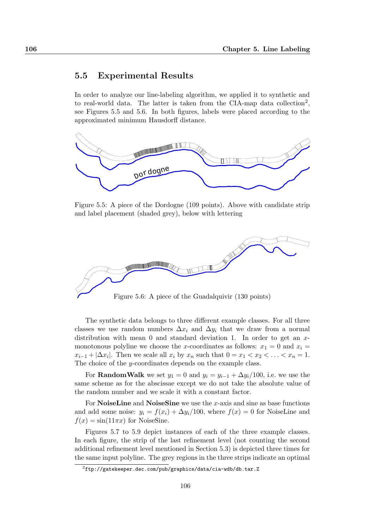### 5.5 Experimental Results

In order to analyze our line-labeling algorithm, we applied it to synthetic and to real-world data. The latter is taken from the CIA-map data collection<sup>2</sup>, see Figures 5.5 and 5.6. In both figures, labels were placed according to the approximated minimum Hausdorff distance.



Figure 5.5: A piece of the Dordogne (109 points). Above with candidate strip and label placement (shaded grey), below with lettering



Figure 5.6: A piece of the Guadalquivir (130 points)

The synthetic data belongs to three different example classes. For all three classes we use random numbers  $\Delta x_i$  and  $\Delta y_i$  that we draw from a normal distribution with mean 0 and standard deviation 1. In order to get an  $x$ monotonous polyline we choose the x-coordinates as follows:  $x_1 = 0$  and  $x_i =$  $x_{i-1} + |\Delta x_i|$ . Then we scale all  $x_i$  by  $x_n$  such that  $0 = x_1 < x_2 < \ldots < x_n = 1$ . The choice of the y-coordinates depends on the example class.

For **RandomWalk** we set  $y_1 = 0$  and  $y_i = y_{i-1} + \Delta y_i/100$ , i.e. we use the same scheme as for the abscissae except we do not take the absolute value of the random number and we scale it with a constant factor.

For **NoiseLine** and **NoiseSine** we use the x-axis and sine as base functions and add some noise:  $y_i = f(x_i) + \Delta y_i/100$ , where  $f(x) = 0$  for NoiseLine and  $f(x) = \sin(11\pi x)$  for NoiseSine.

Figures 5.7 to 5.9 depict instances of each of the three example classes. In each figure, the strip of the last refinement level (not counting the second additional refinement level mentioned in Section 5.3) is depicted three times for the same input polyline. The grey regions in the three strips indicate an optimal

 $^{2}$ ftp://gatekeeper.dec.com/pub/graphics/data/cia-wdb/db.tar.Z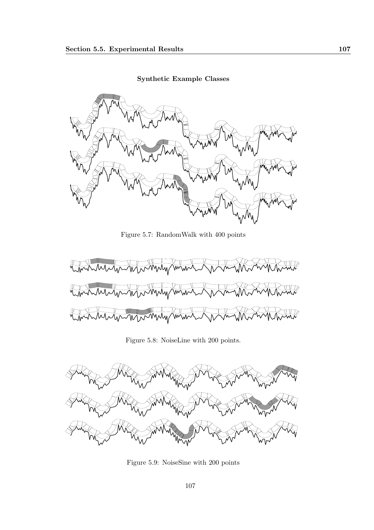Synthetic Example Classes



Figure 5.7: RandomWalk with 400 points



Figure 5.8: NoiseLine with 200 points.



Figure 5.9: NoiseSine with 200 points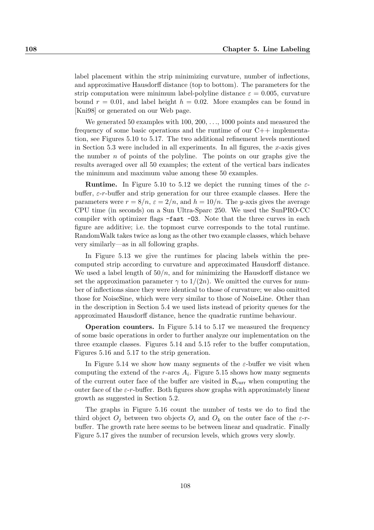label placement within the strip minimizing curvature, number of inflections, and approximative Hausdorff distance (top to bottom). The parameters for the strip computation were minimum label-polyline distance  $\varepsilon = 0.005$ , curvature bound  $r = 0.01$ , and label height  $h = 0.02$ . More examples can be found in [Kni98] or generated on our Web page.

We generated 50 examples with 100, 200, ..., 1000 points and measured the frequency of some basic operations and the runtime of our  $C++$  implementation, see Figures 5.10 to 5.17. The two additional refinement levels mentioned in Section 5.3 were included in all experiments. In all figures, the x-axis gives the number  $n$  of points of the polyline. The points on our graphs give the results averaged over all 50 examples; the extent of the vertical bars indicates the minimum and maximum value among these 50 examples.

**Runtime.** In Figure 5.10 to 5.12 we depict the running times of the  $\varepsilon$ buffer,  $\varepsilon$ -r-buffer and strip generation for our three example classes. Here the parameters were  $r = 8/n$ ,  $\varepsilon = 2/n$ , and  $h = 10/n$ . The y-axis gives the average CPU time (in seconds) on a Sun Ultra-Sparc 250. We used the SunPRO-CC compiler with optimizer flags  $-fast -03$ . Note that the three curves in each figure are additive; i.e. the topmost curve corresponds to the total runtime. RandomWalk takes twice as long as the other two example classes, which behave very similarly—as in all following graphs.

In Figure 5.13 we give the runtimes for placing labels within the precomputed strip according to curvature and approximated Hausdorff distance. We used a label length of  $50/n$ , and for minimizing the Hausdorff distance we set the approximation parameter  $\gamma$  to  $1/(2n)$ . We omitted the curves for number of inflections since they were identical to those of curvature; we also omitted those for NoiseSine, which were very similar to those of NoiseLine. Other than in the description in Section 5.4 we used lists instead of priority queues for the approximated Hausdorff distance, hence the quadratic runtime behaviour.

Operation counters. In Figure 5.14 to 5.17 we measured the frequency of some basic operations in order to further analyze our implementation on the three example classes. Figures 5.14 and 5.15 refer to the buffer computation, Figures 5.16 and 5.17 to the strip generation.

In Figure 5.14 we show how many segments of the  $\varepsilon$ -buffer we visit when computing the extend of the r-arcs  $A_i$ . Figure 5.15 shows how many segments of the current outer face of the buffer are visited in  $\mathcal{B}_{\text{curr}}$  when computing the outer face of the  $\varepsilon$ -r-buffer. Both figures show graphs with approximately linear growth as suggested in Section 5.2.

The graphs in Figure 5.16 count the number of tests we do to find the third object  $O_i$  between two objects  $O_i$  and  $O_k$  on the outer face of the  $\varepsilon$ -rbuffer. The growth rate here seems to be between linear and quadratic. Finally Figure 5.17 gives the number of recursion levels, which grows very slowly.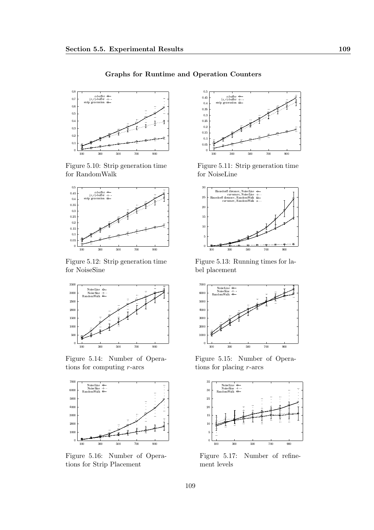Graphs for Runtime and Operation Counters



Figure 5.10: Strip generation time for RandomWalk



Figure 5.12: Strip generation time for NoiseSine



Figure 5.14: Number of Operations for computing  $r$ -arcs



Figure 5.16: Number of Operations for Strip Placement



Figure 5.11: Strip generation time for NoiseLine



Figure 5.13: Running times for label placement



Figure 5.15: Number of Operations for placing  $r$ -arcs



Figure 5.17: Number of refinement levels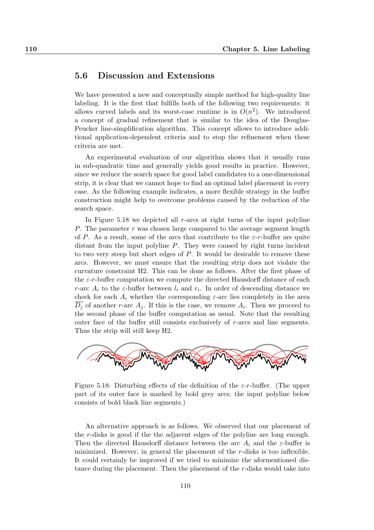#### 5.6 Discussion and Extensions

We have presented a new and conceptually simple method for high-quality line labeling. It is the first that fulfills both of the following two requirements: it allows curved labels and its worst-case runtime is in  $O(n^2)$ . We introduced a concept of gradual refinement that is similar to the idea of the Douglas-Peucker line-simplification algorithm. This concept allows to introduce additional application-dependent criteria and to stop the refinement when these criteria are met.

An experimental evaluation of our algorithm shows that it usually runs in sub-quadratic time and generally yields good results in practice. However, since we reduce the search space for good label candidates to a one-dimensional strip, it is clear that we cannot hope to find an optimal label placement in every case. As the following example indicates, a more flexible strategy in the buffer construction might help to overcome problems caused by the reduction of the search space.

In Figure 5.18 we depicted all r-arcs at right turns of the input polyline P. The parameter  $r$  was chosen large compared to the average segment length of P. As a result, some of the arcs that contribute to the  $\varepsilon$ -r-buffer are quite distant from the input polyline P. They were caused by right turns incident to two very steep but short edges of  $P$ . It would be desirable to remove these arcs. However, we must ensure that the resulting strip does not violate the curvature constraint H2. This can be done as follows. After the first phase of the  $\varepsilon$ -r-buffer computation we compute the directed Hausdorff distance of each r-arc  $A_i$  to the  $\varepsilon$ -buffer between  $l_i$  and  $r_i$ . In order of descending distance we check for each  $A_i$  whether the corresponding  $\varepsilon$ -arc lies completely in the area  $D_j$  of another r-arc  $A_j$ . If this is the case, we remove  $A_i$ . Then we proceed to the second phase of the buffer computation as usual. Note that the resulting outer face of the buffer still consists exclusively of r-arcs and line segments. Thus the strip will still keep H2.



Figure 5.18: Disturbing effects of the definition of the  $\varepsilon$ -r-buffer. (The upper part of its outer face is marked by bold grey arcs; the input polyline below consists of bold black line segments.)

An alternative approach is as follows. We observed that our placement of the r-disks is good if the the adjacent edges of the polyline are long enough. Then the directed Hausdorff distance between the arc  $A_i$  and the  $\varepsilon$ -buffer is minimized. However, in general the placement of the r-disks is too inflexible. It could certainly be improved if we tried to minimize the aformentioned distance during the placement. Then the placement of the r-disks would take into